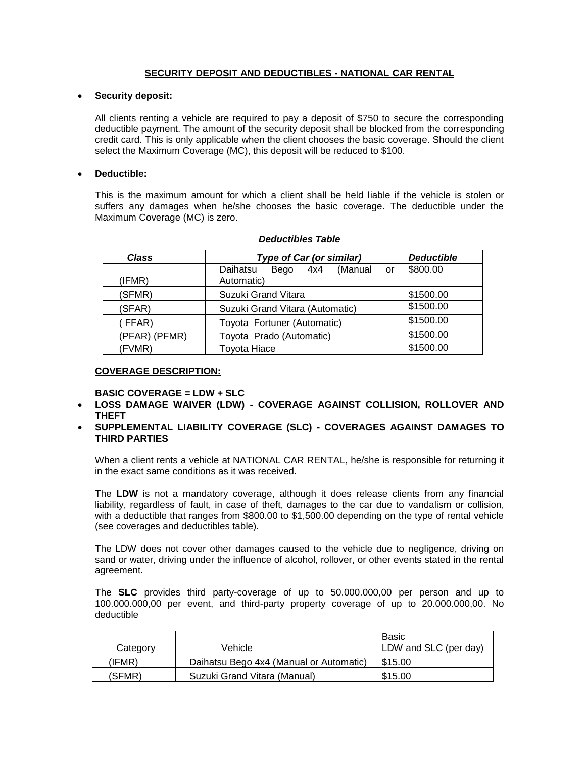# **SECURITY DEPOSIT AND DEDUCTIBLES - NATIONAL CAR RENTAL**

### **Security deposit:**

All clients renting a vehicle are required to pay a deposit of \$750 to secure the corresponding deductible payment. The amount of the security deposit shall be blocked from the corresponding credit card. This is only applicable when the client chooses the basic coverage. Should the client select the Maximum Coverage (MC), this deposit will be reduced to \$100.

## **Deductible:**

This is the maximum amount for which a client shall be held liable if the vehicle is stolen or suffers any damages when he/she chooses the basic coverage. The deductible under the Maximum Coverage (MC) is zero.

| <b>Class</b>  | <b>Type of Car (or similar)</b>    | <b>Deductible</b> |
|---------------|------------------------------------|-------------------|
|               | Bego 4x4 (Manual<br>Daihatsu<br>or | \$800.00          |
| (IFMR)        | Automatic)                         |                   |
| (SFMR)        | Suzuki Grand Vitara                | \$1500.00         |
| (SFAR)        | Suzuki Grand Vitara (Automatic)    | \$1500.00         |
| (FFAR)        | Toyota Fortuner (Automatic)        | \$1500.00         |
| (PFAR) (PFMR) | Toyota Prado (Automatic)           | \$1500.00         |
| (FVMR)        | <b>Toyota Hiace</b>                | \$1500.00         |

### *Deductibles Table*

## **COVERAGE DESCRIPTION:**

### **BASIC COVERAGE = LDW + SLC**

- **LOSS DAMAGE WAIVER (LDW) - COVERAGE AGAINST COLLISION, ROLLOVER AND THEFT**
- **SUPPLEMENTAL LIABILITY COVERAGE (SLC) - COVERAGES AGAINST DAMAGES TO THIRD PARTIES**

When a client rents a vehicle at NATIONAL CAR RENTAL, he/she is responsible for returning it in the exact same conditions as it was received.

The **LDW** is not a mandatory coverage, although it does release clients from any financial liability, regardless of fault, in case of theft, damages to the car due to vandalism or collision, with a deductible that ranges from \$800.00 to \$1,500.00 depending on the type of rental vehicle (see coverages and deductibles table).

The LDW does not cover other damages caused to the vehicle due to negligence, driving on sand or water, driving under the influence of alcohol, rollover, or other events stated in the rental agreement.

The **SLC** provides third party-coverage of up to 50.000.000,00 per person and up to 100.000.000,00 per event, and third-party property coverage of up to 20.000.000,00. No deductible

|          |                                         | Basic                 |
|----------|-----------------------------------------|-----------------------|
| Category | Vehicle                                 | LDW and SLC (per day) |
| (IFMR)   | Daihatsu Bego 4x4 (Manual or Automatic) | \$15.00               |
| (SFMR)   | Suzuki Grand Vitara (Manual)            | \$15.00               |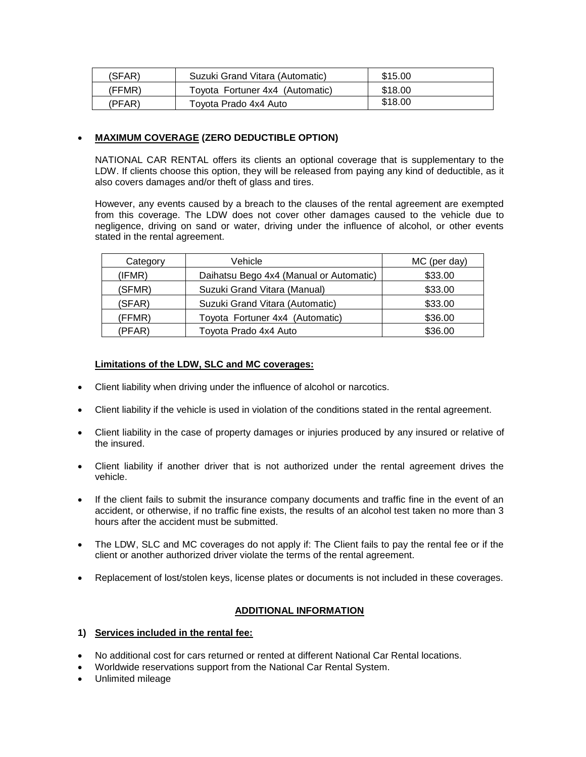| (SFAR)        | Suzuki Grand Vitara (Automatic) | \$15.00 |
|---------------|---------------------------------|---------|
| (FFMR)        | Toyota Fortuner 4x4 (Automatic) | \$18.00 |
| <b>PFAR</b> ) | Toyota Prado 4x4 Auto           | \$18.00 |

# **MAXIMUM COVERAGE (ZERO DEDUCTIBLE OPTION)**

NATIONAL CAR RENTAL offers its clients an optional coverage that is supplementary to the LDW. If clients choose this option, they will be released from paying any kind of deductible, as it also covers damages and/or theft of glass and tires.

However, any events caused by a breach to the clauses of the rental agreement are exempted from this coverage. The LDW does not cover other damages caused to the vehicle due to negligence, driving on sand or water, driving under the influence of alcohol, or other events stated in the rental agreement.

| Category | Vehicle                                 | MC (per day) |
|----------|-----------------------------------------|--------------|
| (IFMR)   | Daihatsu Bego 4x4 (Manual or Automatic) | \$33.00      |
| (SFMR)   | Suzuki Grand Vitara (Manual)            | \$33.00      |
| (SFAR)   | Suzuki Grand Vitara (Automatic)         | \$33.00      |
| (FFMR)   | Toyota Fortuner 4x4 (Automatic)         | \$36.00      |
| (PFAR)   | Toyota Prado 4x4 Auto                   | \$36.00      |

## **Limitations of the LDW, SLC and MC coverages:**

- Client liability when driving under the influence of alcohol or narcotics.
- Client liability if the vehicle is used in violation of the conditions stated in the rental agreement.
- Client liability in the case of property damages or injuries produced by any insured or relative of the insured.
- Client liability if another driver that is not authorized under the rental agreement drives the vehicle.
- If the client fails to submit the insurance company documents and traffic fine in the event of an accident, or otherwise, if no traffic fine exists, the results of an alcohol test taken no more than 3 hours after the accident must be submitted.
- The LDW, SLC and MC coverages do not apply if: The Client fails to pay the rental fee or if the client or another authorized driver violate the terms of the rental agreement.
- Replacement of lost/stolen keys, license plates or documents is not included in these coverages.

# **ADDITIONAL INFORMATION**

- **1) Services included in the rental fee:**
- No additional cost for cars returned or rented at different National Car Rental locations.
- Worldwide reservations support from the National Car Rental System.
- Unlimited mileage